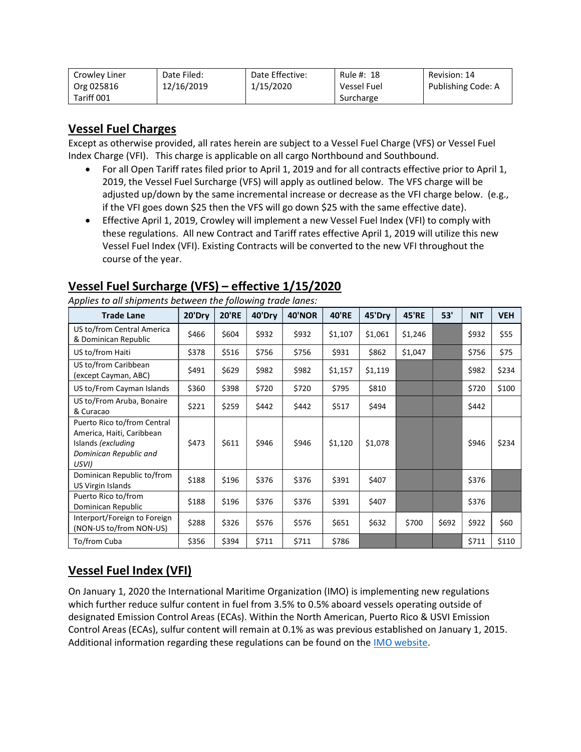| Crowley Liner | Date Filed: | Date Effective: | Rule #: 18         | Revision: 14       |
|---------------|-------------|-----------------|--------------------|--------------------|
| Org 025816    | 12/16/2019  | 1/15/2020       | <b>Vessel Fuel</b> | Publishing Code: A |
| Tariff 001    |             |                 | Surcharge          |                    |

# Vessel Fuel Charges

Except as otherwise provided, all rates herein are subject to a Vessel Fuel Charge (VFS) or Vessel Fuel Index Charge (VFI). This charge is applicable on all cargo Northbound and Southbound.

- For all Open Tariff rates filed prior to April 1, 2019 and for all contracts effective prior to April 1, 2019, the Vessel Fuel Surcharge (VFS) will apply as outlined below. The VFS charge will be adjusted up/down by the same incremental increase or decrease as the VFI charge below. (e.g., if the VFI goes down \$25 then the VFS will go down \$25 with the same effective date).
- Effective April 1, 2019, Crowley will implement a new Vessel Fuel Index (VFI) to comply with these regulations. All new Contract and Tariff rates effective April 1, 2019 will utilize this new Vessel Fuel Index (VFI). Existing Contracts will be converted to the new VFI throughout the course of the year.

| <b>Trade Lane</b>                                                                                                 | 20'Dry | <b>20'RE</b> | 40'Dry | <b>40'NOR</b> | <b>40'RE</b> | 45'Dry  | <b>45'RE</b> | 53'   | <b>NIT</b> | <b>VEH</b> |
|-------------------------------------------------------------------------------------------------------------------|--------|--------------|--------|---------------|--------------|---------|--------------|-------|------------|------------|
| US to/from Central America<br>& Dominican Republic                                                                | \$466  | \$604        | \$932  | \$932         | \$1,107      | \$1,061 | \$1,246      |       | \$932      | \$55       |
| US to/from Haiti                                                                                                  | \$378  | \$516        | \$756  | \$756         | \$931        | \$862   | \$1,047      |       | \$756      | \$75       |
| US to/from Caribbean<br>(except Cayman, ABC)                                                                      | \$491  | \$629        | \$982  | \$982         | \$1,157      | \$1,119 |              |       | \$982      | \$234      |
| US to/From Cayman Islands                                                                                         | \$360  | \$398        | \$720  | \$720         | \$795        | \$810   |              |       | \$720      | \$100      |
| US to/From Aruba, Bonaire<br>& Curacao                                                                            | \$221  | \$259        | \$442  | \$442         | \$517        | \$494   |              |       | \$442      |            |
| Puerto Rico to/from Central<br>America, Haiti, Caribbean<br>Islands (excluding<br>Dominican Republic and<br>USVI) | \$473  | \$611        | \$946  | \$946         | \$1,120      | \$1,078 |              |       | \$946      | \$234      |
| Dominican Republic to/from<br>US Virgin Islands                                                                   | \$188  | \$196        | \$376  | \$376         | \$391        | \$407   |              |       | \$376      |            |
| Puerto Rico to/from<br>Dominican Republic                                                                         | \$188  | \$196        | \$376  | \$376         | \$391        | \$407   |              |       | \$376      |            |
| Interport/Foreign to Foreign<br>(NON-US to/from NON-US)                                                           | \$288  | \$326        | \$576  | \$576         | \$651        | \$632   | \$700        | \$692 | \$922      | \$60       |
| To/from Cuba                                                                                                      | \$356  | \$394        | \$711  | \$711         | \$786        |         |              |       | \$711      | \$110      |

### Vessel Fuel Surcharge (VFS) – effective 1/15/2020

Applies to all shipments between the following trade lanes:

## Vessel Fuel Index (VFI)

On January 1, 2020 the International Maritime Organization (IMO) is implementing new regulations which further reduce sulfur content in fuel from 3.5% to 0.5% aboard vessels operating outside of designated Emission Control Areas (ECAs). Within the North American, Puerto Rico & USVI Emission Control Areas (ECAs), sulfur content will remain at 0.1% as was previous established on January 1, 2015. Additional information regarding these regulations can be found on the IMO website.